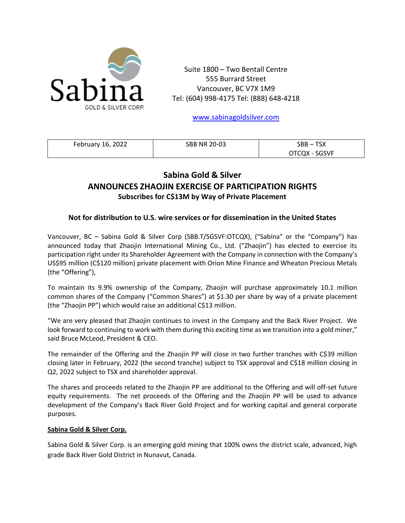

Suite 1800 – Two Bentall Centre 555 Burrard Street Vancouver, BC V7X 1M9 Tel: (604) 998-4175 Tel: (888) 648-4218

[www.sabinagoldsilver.com](http://www.sabinagoldsilver.com/)

| February 16, 2022 | <b>SBB NR 20-03</b> | <b>TSX</b><br>SBB |
|-------------------|---------------------|-------------------|
|                   |                     | SGSVF<br>OTCOX    |

## **Sabina Gold & Silver ANNOUNCES ZHAOJIN EXERCISE OF PARTICIPATION RIGHTS Subscribes for C\$13M by Way of Private Placement**

## **Not for distribution to U.S. wire services or for dissemination in the United States**

Vancouver, BC – Sabina Gold & Silver Corp (SBB.T/SGSVF:OTCQX), ("Sabina" or the "Company") has announced today that Zhaojin International Mining Co., Ltd. ("Zhaojin") has elected to exercise its participation right under its Shareholder Agreement with the Company in connection with the Company's US\$95 million (C\$120 million) private placement with Orion Mine Finance and Wheaton Precious Metals (the "Offering"),

To maintain its 9.9% ownership of the Company, Zhaojin will purchase approximately 10.1 million common shares of the Company ("Common Shares") at \$1.30 per share by way of a private placement (the "Zhaojin PP") which would raise an additional C\$13 million.

"We are very pleased that Zhaojin continues to invest in the Company and the Back River Project. We look forward to continuing to work with them during this exciting time as we transition into a gold miner," said Bruce McLeod, President & CEO.

The remainder of the Offering and the Zhaojin PP will close in two further tranches with C\$39 million closing later in February, 2022 (the second tranche) subject to TSX approval and C\$18 million closing in Q2, 2022 subject to TSX and shareholder approval.

The shares and proceeds related to the Zhaojin PP are additional to the Offering and will off-set future equity requirements. The net proceeds of the Offering and the Zhaojin PP will be used to advance development of the Company's Back River Gold Project and for working capital and general corporate purposes.

## **Sabina Gold & Silver Corp.**

Sabina Gold & Silver Corp. is an emerging gold mining that 100% owns the district scale, advanced, high grade Back River Gold District in Nunavut, Canada.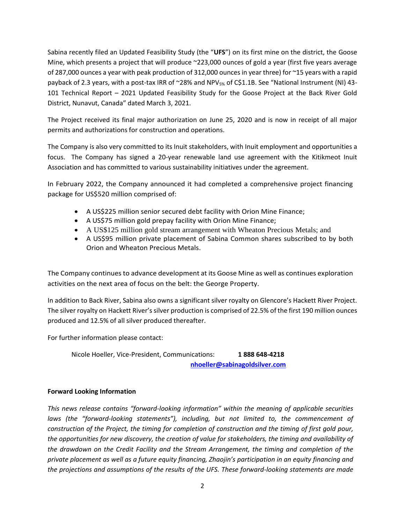Sabina recently filed an Updated Feasibility Study (the "**UFS**") on its first mine on the district, the Goose Mine, which presents a project that will produce ~223,000 ounces of gold a year (first five years average of 287,000 ounces a year with peak production of 312,000 ounces in year three) for ~15 years with a rapid payback of 2.3 years, with a post-tax IRR of ~28% and NPV<sub>5%</sub> of C\$1.1B. See "National Instrument (NI) 43-101 Technical Report – 2021 Updated Feasibility Study for the Goose Project at the Back River Gold District, Nunavut, Canada" dated March 3, 2021.

The Project received its final major authorization on June 25, 2020 and is now in receipt of all major permits and authorizations for construction and operations.

The Company is also very committed to its Inuit stakeholders, with Inuit employment and opportunities a focus. The Company has signed a 20-year renewable land use agreement with the Kitikmeot Inuit Association and has committed to various sustainability initiatives under the agreement.

In February 2022, the Company announced it had completed a comprehensive project financing package for US\$520 million comprised of:

- A US\$225 million senior secured debt facility with Orion Mine Finance;
- A US\$75 million gold prepay facility with Orion Mine Finance;
- A US\$125 million gold stream arrangement with Wheaton Precious Metals; and
- A US\$95 million private placement of Sabina Common shares subscribed to by both Orion and Wheaton Precious Metals.

The Company continues to advance development at its Goose Mine as well as continues exploration activities on the next area of focus on the belt: the George Property.

In addition to Back River, Sabina also owns a significant silver royalty on Glencore's Hackett River Project. The silver royalty on Hackett River's silver production is comprised of 22.5% of the first 190 million ounces produced and 12.5% of all silver produced thereafter.

For further information please contact:

Nicole Hoeller, Vice-President, Communications: **1 888 648-4218 [nhoeller@sabinagoldsilver.com](mailto:nhoeller@sabinagoldsilver.com)**

## **Forward Looking Information**

*This news release contains "forward-looking information" within the meaning of applicable securities laws (the "forward-looking statements"), including, but not limited to, the commencement of construction of the Project, the timing for completion of construction and the timing of first gold pour, the opportunities for new discovery, the creation of value for stakeholders, the timing and availability of the drawdown on the Credit Facility and the Stream Arrangement, the timing and completion of the private placement as well as a future equity financing, Zhaojin's participation in an equity financing and the projections and assumptions of the results of the UFS. These forward-looking statements are made*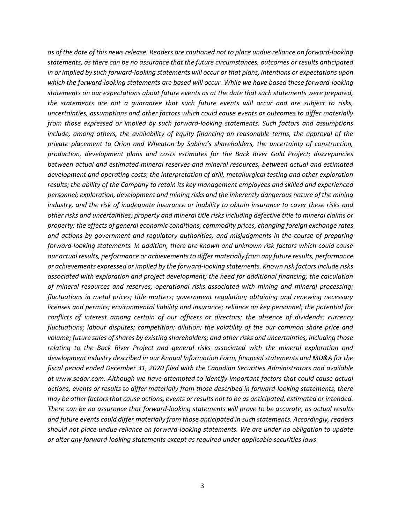*as of the date of this news release. Readers are cautioned not to place undue reliance on forward-looking statements, as there can be no assurance that the future circumstances, outcomes or results anticipated in or implied by such forward-looking statements will occur or that plans, intentions or expectations upon which the forward-looking statements are based will occur. While we have based these forward-looking statements on our expectations about future events as at the date that such statements were prepared, the statements are not a guarantee that such future events will occur and are subject to risks, uncertainties, assumptions and other factors which could cause events or outcomes to differ materially from those expressed or implied by such forward-looking statements. Such factors and assumptions include, among others, the availability of equity financing on reasonable terms, the approval of the private placement to Orion and Wheaton by Sabina's shareholders, the uncertainty of construction, production, development plans and costs estimates for the Back River Gold Project; discrepancies between actual and estimated mineral reserves and mineral resources, between actual and estimated development and operating costs; the interpretation of drill, metallurgical testing and other exploration results; the ability of the Company to retain its key management employees and skilled and experienced personnel; exploration, development and mining risks and the inherently dangerous nature of the mining industry, and the risk of inadequate insurance or inability to obtain insurance to cover these risks and other risks and uncertainties; property and mineral title risks including defective title to mineral claims or property; the effects of general economic conditions, commodity prices, changing foreign exchange rates and actions by government and regulatory authorities; and misjudgments in the course of preparing forward-looking statements. In addition, there are known and unknown risk factors which could cause our actual results, performance or achievements to differ materially from any future results, performance or achievements expressed or implied by the forward-looking statements. Known risk factors include risks associated with exploration and project development; the need for additional financing; the calculation of mineral resources and reserves; operational risks associated with mining and mineral processing; fluctuations in metal prices; title matters; government regulation; obtaining and renewing necessary licenses and permits; environmental liability and insurance; reliance on key personnel; the potential for conflicts of interest among certain of our officers or directors; the absence of dividends; currency fluctuations; labour disputes; competition; dilution; the volatility of the our common share price and volume; future sales of shares by existing shareholders; and other risks and uncertainties, including those relating to the Back River Project and general risks associated with the mineral exploration and development industry described in our Annual Information Form, financial statements and MD&A for the fiscal period ended December 31, 2020 filed with the Canadian Securities Administrators and available at www.sedar.com. Although we have attempted to identify important factors that could cause actual actions, events or results to differ materially from those described in forward-looking statements, there may be other factors that cause actions, events or results not to be as anticipated, estimated or intended. There can be no assurance that forward-looking statements will prove to be accurate, as actual results and future events could differ materially from those anticipated in such statements. Accordingly, readers should not place undue reliance on forward-looking statements. We are under no obligation to update or alter any forward-looking statements except as required under applicable securities laws.*